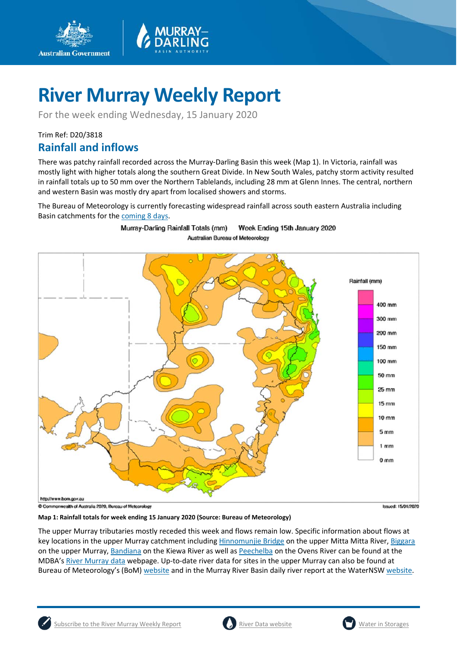

For the week ending Wednesday, 15 January 2020

### Trim Ref: D20/3818

**Australian Government** 

## **Rainfall and inflows**

There was patchy rainfall recorded across the Murray-Darling Basin this week (Map 1). In Victoria, rainfall was mostly light with higher totals along the southern Great Divide. In New South Wales, patchy storm activity resulted in rainfall totals up to 50 mm over the Northern Tablelands, including 28 mm at Glenn Innes. The central, northern and western Basin was mostly dry apart from localised showers and storms.

The Bureau of Meteorology is currently forecasting widespread rainfall across south eastern Australia including Basin catchments for the [coming 8 days.](http://www.bom.gov.au/jsp/watl/rainfall/pme.jsp)



Murray-Darling Rainfall Totals (mm) Week Ending 15th January 2020 **Australian Bureau of Meteorology** 

**Map 1: Rainfall totals for week ending 15 January 2020 (Source: Bureau of Meteorology)**

The upper Murray tributaries mostly receded this week and flows remain low. Specific information about flows at key locations in the upper Murray catchment includin[g Hinnomunjie Bridge](https://riverdata.mdba.gov.au/hinnomunjie) on the upper Mitta Mitta River, [Biggara](https://riverdata.mdba.gov.au/biggara) on the upper Murray, [Bandiana](https://riverdata.mdba.gov.au/bandiana) on the Kiewa River as well a[s Peechelba](https://riverdata.mdba.gov.au/peechelba) on the Ovens River can be found at the MDBA's [River Murray data](https://riverdata.mdba.gov.au/system-view) webpage. Up-to-date river data for sites in the upper Murray can also be found at Bureau of Meteorology's (BoM) [website](http://www.bom.gov.au/cgi-bin/wrap_fwo.pl?IDV60151.html) and in the Murray River Basin daily river report at the WaterNS[W website.](https://realtimedata.waternsw.com.au/water.stm)



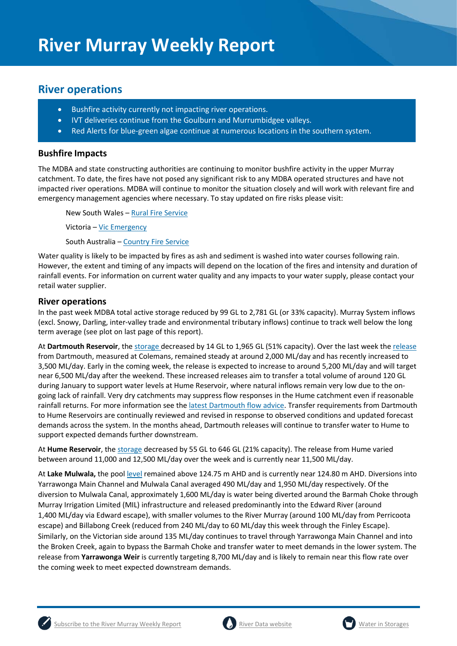## **River operations**

- Bushfire activity currently not impacting river operations.
- IVT deliveries continue from the Goulburn and Murrumbidgee valleys.
- Red Alerts for blue-green algae continue at numerous locations in the southern system.

#### **Bushfire Impacts**

The MDBA and state constructing authorities are continuing to monitor bushfire activity in the upper Murray catchment. To date, the fires have not posed any significant risk to any MDBA operated structures and have not impacted river operations. MDBA will continue to monitor the situation closely and will work with relevant fire and emergency management agencies where necessary. To stay updated on fire risks please visit:

New South Wales – [Rural Fire Service](https://www.rfs.nsw.gov.au/)

Victoria – [Vic Emergency](https://www.emergency.vic.gov.au/respond/)

South Australia – [Country Fire Service](https://www.cfs.sa.gov.au/site/warnings_and_incidents.jsp)

Water quality is likely to be impacted by fires as ash and sediment is washed into water courses following rain. However, the extent and timing of any impacts will depend on the location of the fires and intensity and duration of rainfall events. For information on current water quality and any impacts to your water supply, please contact your retail water supplier.

#### **River operations**

In the past week MDBA total active storage reduced by 99 GL to 2,781 GL (or 33% capacity). Murray System inflows (excl. Snowy, Darling, inter-valley trade and environmental tributary inflows) continue to track well below the long term average (see plot on last page of this report).

At **Dartmouth Reservoir**, the [storage](https://riverdata.mdba.gov.au/dartmouth-dam) decreased by 14 GL to 1,965 GL (51% capacity). Over the last week the [release](https://riverdata.mdba.gov.au/colemans) from Dartmouth, measured at Colemans, remained steady at around 2,000 ML/day and has recently increased to 3,500 ML/day. Early in the coming week, the release is expected to increase to around 5,200 ML/day and will target near 6,500 ML/day after the weekend. These increased releases aim to transfer a total volume of around 120 GL during January to support water levels at Hume Reservoir, where natural inflows remain very low due to the ongoing lack of rainfall. Very dry catchments may suppress flow responses in the Hume catchment even if reasonable rainfall returns. For more information see the [latest Dartmouth flow advice.](https://www.mdba.gov.au/mitta-mitta-flow-advice-17-jan-2020) Transfer requirements from Dartmouth to Hume Reservoirs are continually reviewed and revised in response to observed conditions and updated forecast demands across the system. In the months ahead, Dartmouth releases will continue to transfer water to Hume to support expected demands further downstream.

At **Hume Reservoir**, the storage decreased by 55 GL to 646 GL (21% capacity). The release from Hume varied between around 11,000 and 12,500 ML/day over the week and is currently near 11,500 ML/day.

At Lake Mulwala, the pool [level](https://riverdata.mdba.gov.au/yarrawonga-weir-upstream) remained above 124.75 m AHD and is currently near 124.80 m AHD. Diversions into Yarrawonga Main Channel and Mulwala Canal averaged 490 ML/day and 1,950 ML/day respectively. Of the diversion to Mulwala Canal, approximately 1,600 ML/day is water being diverted around the Barmah Choke through Murray Irrigation Limited (MIL) infrastructure and released predominantly into the Edward River (around 1,400 ML/day via Edward escape), with smaller volumes to the River Murray (around 100 ML/day from Perricoota escape) and Billabong Creek (reduced from 240 ML/day to 60 ML/day this week through the Finley Escape). Similarly, on the Victorian side around 135 ML/day continues to travel through Yarrawonga Main Channel and into the Broken Creek, again to bypass the Barmah Choke and transfer water to meet demands in the lower system. The release from **Yarrawonga Weir** is currently targeting 8,700 ML/day and is likely to remain near this flow rate over the coming week to meet expected downstream demands.



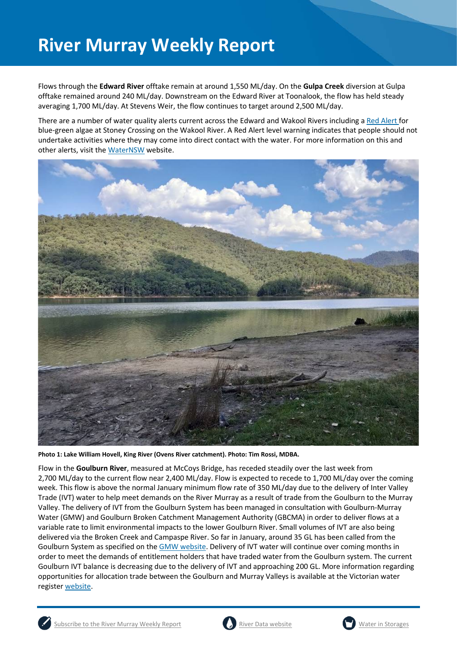Flows through the **Edward River** offtake remain at around 1,550 ML/day. On the **Gulpa Creek** diversion at Gulpa offtake remained around 240 ML/day. Downstream on the Edward River at Toonalook, the flow has held steady averaging 1,700 ML/day. At Stevens Weir, the flow continues to target around 2,500 ML/day.

There are a number of water quality alerts current across the Edward and Wakool Rivers including a Red [Alert](https://www.waternsw.com.au/about/newsroom/2019/blue-green-algae-red-alert-for-murrumbidgee-river-at-redbank-weir2) for blue-green algae at Stoney Crossing on the Wakool River. A Red Alert level warning indicates that people should not undertake activities where they may come into direct contact with the water. For more information on this and other alerts, visit th[e WaterNSW](https://www.waternsw.com.au/water-quality/algae) website.



**Photo 1: Lake William Hovell, King River (Ovens River catchment). Photo: Tim Rossi, MDBA.**

Flow in the **Goulburn River**, measured at McCoys Bridge, has receded steadily over the last week from 2,700 ML/day to the current flow near 2,400 ML/day. Flow is expected to recede to 1,700 ML/day over the coming week. This flow is above the normal January minimum flow rate of 350 ML/day due to the delivery of Inter Valley Trade (IVT) water to help meet demands on the River Murray as a result of trade from the Goulburn to the Murray Valley. The delivery of IVT from the Goulburn System has been managed in consultation with Goulburn-Murray Water (GMW) and Goulburn Broken Catchment Management Authority (GBCMA) in order to deliver flows at a variable rate to limit environmental impacts to the lower Goulburn River. Small volumes of IVT are also being delivered via the Broken Creek and Campaspe River. So far in January, around 35 GL has been called from the Goulburn System as specified on th[e GMW website.](https://www.g-mwater.com.au/water-resources/managing-water-storages) Delivery of IVT water will continue over coming months in order to meet the demands of entitlement holders that have traded water from the Goulburn system. The current Goulburn IVT balance is decreasing due to the delivery of IVT and approaching 200 GL. More information regarding opportunities for allocation trade between the Goulburn and Murray Valleys is available at the Victorian water register [website.](http://waterregister.vic.gov.au/water-trading/allocation-trading#AllocationTradeOpportunities)



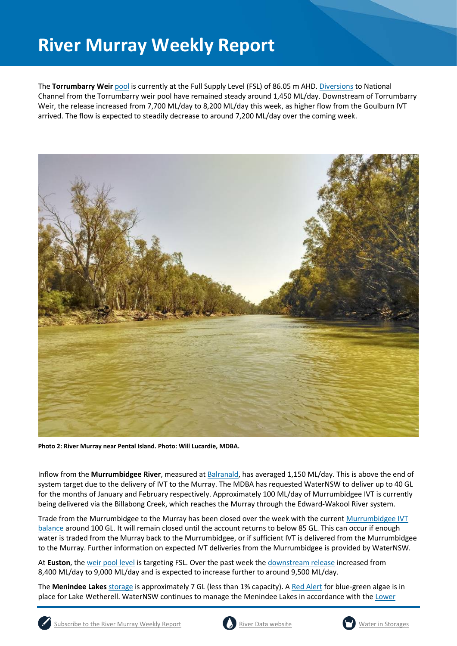The **Torrumbarry Weir** [pool](https://riverdata.mdba.gov.au/torrumbarry-weir-lock-26) is currently at the Full Supply Level (FSL) of 86.05 m AHD. [Diversions](https://riverdata.mdba.gov.au/national-channel-ds-torrumbarry-headworks) to National Channel from the Torrumbarry weir pool have remained steady around 1,450 ML/day. Downstream of Torrumbarry Weir, the release increased from 7,700 ML/day to 8,200 ML/day this week, as higher flow from the Goulburn IVT arrived. The flow is expected to steadily decrease to around 7,200 ML/day over the coming week.



**Photo 2: River Murray near Pental Island. Photo: Will Lucardie, MDBA.**

Inflow from the **Murrumbidgee River**, measured a[t Balranald,](https://riverdata.mdba.gov.au/balranald-weir-downstream) has averaged 1,150 ML/day. This is above the end of system target due to the delivery of IVT to the Murray. The MDBA has requested WaterNSW to deliver up to 40 GL for the months of January and February respectively. Approximately 100 ML/day of Murrumbidgee IVT is currently being delivered via the Billabong Creek, which reaches the Murray through the Edward-Wakool River system.

Trade from the Murrumbidgee to the Murray has been closed over the week with the current [Murrumbidgee IVT](https://www.waternsw.com.au/customer-service/ordering-trading-and-pricing/trading/murrumbidgee)  [balance](https://www.waternsw.com.au/customer-service/ordering-trading-and-pricing/trading/murrumbidgee) around 100 GL. It will remain closed until the account returns to below 85 GL. This can occur if enough water is traded from the Murray back to the Murrumbidgee, or if sufficient IVT is delivered from the Murrumbidgee to the Murray. Further information on expected IVT deliveries from the Murrumbidgee is provided by WaterNSW.

At **Euston**, the [weir pool level](https://riverdata.mdba.gov.au/euston-weir-upstream) is targeting FSL. Over the past week the [downstream release](https://riverdata.mdba.gov.au/euston-weir-downstream) increased from 8,400 ML/day to 9,000 ML/day and is expected to increase further to around 9,500 ML/day.

The **Menindee Lakes** storage is approximately 7 GL (less than 1% capacity). A [Red Alert](https://www.waternsw.com.au/about/newsroom/2019/blue-green-algae-red-alert-for-lake-wetherell-site-3,-upstream-from-menindee) for blue-green algae is in place for Lake Wetherell. WaterNSW continues to manage the Menindee Lakes in accordance with the [Lower](https://www.waternsw.com.au/supply/regional-nsw/operations) 





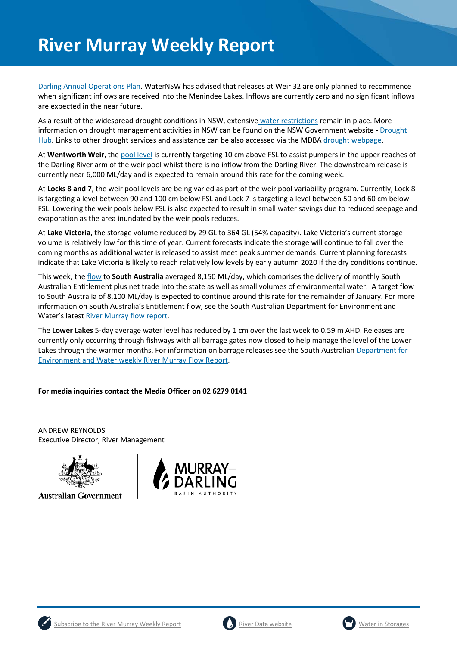[Darling Annual Operations Plan.](https://www.waternsw.com.au/supply/regional-nsw/operations) WaterNSW has advised that releases at Weir 32 are only planned to recommence when significant inflows are received into the Menindee Lakes. Inflows are currently zero and no significant inflows are expected in the near future.

As a result of the widespread drought conditions in NSW, extensive [water restrictions](https://www.waternsw.com.au/about/newsroom/2018/waternsw-confirms-restrictions-for-lower-darling-customers) remain in place. More information on drought management activities in NSW can be found on the NSW Government website - [Drought](https://www.dpi.nsw.gov.au/climate-and-emergencies/droughthub)  [Hub.](https://www.dpi.nsw.gov.au/climate-and-emergencies/droughthub) Links to other drought services and assistance can be also accessed via the MDB[A drought webpage.](https://www.mdba.gov.au/managing-water/drought-murray-darling-basin)

At **Wentworth Weir**, th[e pool level](https://riverdata.mdba.gov.au/wentworth-weir-lock-10) is currently targeting 10 cm above FSL to assist pumpers in the upper reaches of the Darling River arm of the weir pool whilst there is no inflow from the Darling River. The downstream release is currently near 6,000 ML/day and is expected to remain around this rate for the coming week.

At **Locks 8 and 7**, the weir pool levels are being varied as part of the weir pool variability program. Currently, Lock 8 is targeting a level between 90 and 100 cm below FSL and Lock 7 is targeting a level between 50 and 60 cm below FSL. Lowering the weir pools below FSL is also expected to result in small water savings due to reduced seepage and evaporation as the area inundated by the weir pools reduces.

At **Lake Victoria,** the storage volume reduced by 29 GL to 364 GL (54% capacity). Lake Victoria's current storage volume is relatively low for this time of year. Current forecasts indicate the storage will continue to fall over the coming months as additional water is released to assist meet peak summer demands. Current planning forecasts indicate that Lake Victoria is likely to reach relatively low levels by early autumn 2020 if the dry conditions continue.

This week, th[e flow](https://riverdata.mdba.gov.au/flow-south-australia-calculated) to **South Australia** averaged 8,150 ML/day, which comprises the delivery of monthly South Australian Entitlement plus net trade into the state as well as small volumes of environmental water. A target flow to South Australia of 8,100 ML/day is expected to continue around this rate for the remainder of January. For more information on South Australia's Entitlement flow, see the South Australian Department for Environment and Water's lates[t River Murray flow report.](https://www.waterconnect.sa.gov.au/River-Murray/SitePages/2019%20Flow%20Reports.aspx)

The **Lower Lakes** 5-day average water level has reduced by 1 cm over the last week to 0.59 m AHD. Releases are currently only occurring through fishways with all barrage gates now closed to help manage the level of the Lower Lakes through the warmer months. For information on barrage releases see the South Australia[n Department for](https://www.waterconnect.sa.gov.au/River-Murray/SitePages/River%20Murray%20Flow%20Reports.aspx)  [Environment and Water weekly River Murray Flow Report.](https://www.waterconnect.sa.gov.au/River-Murray/SitePages/River%20Murray%20Flow%20Reports.aspx)

**For media inquiries contact the Media Officer on 02 6279 0141**

ANDREW REYNOLDS Executive Director, River Management



**Australian Government** 







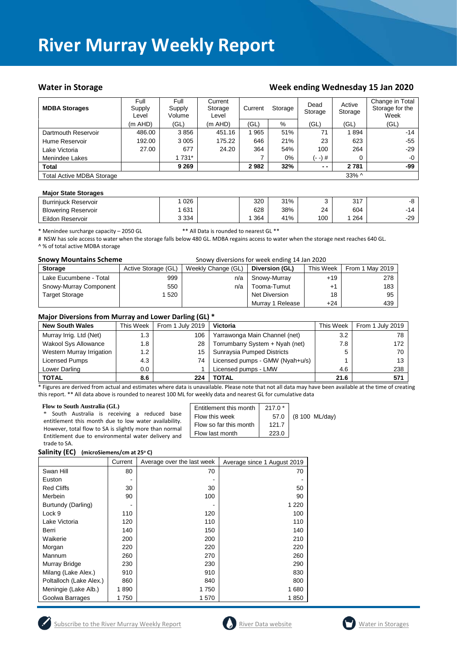#### Water in Storage Water in Storage Week ending Wednesday 15 Jan 2020

| <b>MDBA Storages</b>             | Full<br>Supply<br>Level | Full<br>Supply<br>Volume | Current<br>Storage<br>Level | Storage<br>Current |       | Dead<br>Storage | Active<br>Storage | Change in Total<br>Storage for the<br>Week |
|----------------------------------|-------------------------|--------------------------|-----------------------------|--------------------|-------|-----------------|-------------------|--------------------------------------------|
|                                  | $(m$ AHD)               | (GL)                     | (m AHD)                     | (GL)               | $\%$  | (GL)            | (GL)              | (GL)                                       |
| Dartmouth Reservoir              | 486.00                  | 3856                     | 451.16                      | 965                | 51%   | 71              | 1894              | $-14$                                      |
| Hume Reservoir                   | 192.00                  | 3 0 0 5                  | 175.22                      | 646                | 21%   | 23              | 623               | $-55$                                      |
| Lake Victoria                    | 27.00                   | 677                      | 24.20                       | 364                | 54%   | 100             | 264               | $-29$                                      |
| Menindee Lakes                   |                         | 1 731*                   |                             |                    | $0\%$ | (- -) #         | 0                 | $-0$                                       |
| <b>Total</b>                     |                         | 9 2 6 9                  |                             | 2982               | 32%   | $ -$            | 2781              | -99                                        |
| <b>Total Active MDBA Storage</b> |                         |                          |                             |                    |       |                 | $33\%$ ^          |                                            |

#### **Major State Storages**

| <b>Burriniuck Reservoir</b> | 026     | 320 | 31% |     | 217<br>، ا ب | -0  |
|-----------------------------|---------|-----|-----|-----|--------------|-----|
| <b>Blowering Reservoir</b>  | 631     | 628 | 38% | 24  | 604          |     |
| Eildon Reservoir            | 3 3 3 4 | 364 | 41% | 100 | 264          | -29 |

\* Menindee surcharge capacity – 2050 GL \*\* All Data is rounded to nearest GL \*\*

# NSW has sole access to water when the storage falls below 480 GL. MDBA regains access to water when the storage next reaches 640 GL. ^ % of total active MDBA storage

| <b>Snowy Mountains Scheme</b> | Snowy diversions for week ending 14 Jan 2020 |                    |                  |           |                 |
|-------------------------------|----------------------------------------------|--------------------|------------------|-----------|-----------------|
| <b>Storage</b>                | Active Storage (GL)                          | Weekly Change (GL) | Diversion (GL)   | This Week | From 1 May 2019 |
| Lake Eucumbene - Total        | 999                                          | n/a                | Snowy-Murray     | $+19$     | 278             |
| Snowy-Murray Component        | 550                                          | n/a                | Tooma-Tumut      | $+1$      | 183             |
| <b>Target Storage</b>         | 520                                          |                    | Net Diversion    | 18        | 95              |
|                               |                                              |                    | Murray 1 Release | $+24$     | 439             |

#### **Major Diversions from Murray and Lower Darling (GL) \***

| <b>New South Wales</b>      | This Week     | From 1 July 2019 | <b>Victoria</b>                 | This Week | From 1 July 2019 |
|-----------------------------|---------------|------------------|---------------------------------|-----------|------------------|
| Murray Irrig. Ltd (Net)     | 1.3           | 106              | Yarrawonga Main Channel (net)   | 3.2       | 78               |
| <b>Wakool Sys Allowance</b> | 1.8           | 28               | Torrumbarry System + Nyah (net) | 7.8       | 172              |
| Western Murray Irrigation   | $1.2^{\circ}$ | 15               | Sunraysia Pumped Districts      | 5         | 70               |
| Licensed Pumps              | 4.3           | 74               | Licensed pumps - GMW (Nyah+u/s) |           | 13               |
| Lower Darling               | 0.0           |                  | Licensed pumps - LMW            | 4.6       | 238              |
| <b>TOTAL</b>                | 8.6           | 224              | <b>TOTAL</b>                    | 21.6      | 571              |

\* Figures are derived from actual and estimates where data is unavailable. Please note that not all data may have been available at the time of creating this report. \*\* All data above is rounded to nearest 100 ML for weekly data and nearest GL for cumulative data

#### **Flow to South Australia (GL)**

| Flow to South Australia (GL)                                                                                  | Entitlement this month | $217.0*$ |                |
|---------------------------------------------------------------------------------------------------------------|------------------------|----------|----------------|
| * South Australia is receiving a reduced base                                                                 | Flow this week         | 57.0     | (8 100 ML/day) |
| entitlement this month due to low water availability.                                                         | Flow so far this month | 121.7    |                |
| However, total flow to SA is slightly more than normal<br>Entitlement due to environmental water delivery and | Flow last month        | 223.0    |                |
| trade to SA.                                                                                                  |                        |          |                |

#### **Salinity (EC) (microSiemens/cm at 25o C)**

|                         | Current | Average over the last week | Average since 1 August 2019 |
|-------------------------|---------|----------------------------|-----------------------------|
| Swan Hill               | 80      | 70                         | 70                          |
| Euston                  |         |                            |                             |
| <b>Red Cliffs</b>       | 30      | 30                         | 50                          |
| Merbein                 | 90      | 100                        | 90                          |
| Burtundy (Darling)      |         |                            | 1 2 2 0                     |
| Lock 9                  | 110     | 120                        | 100                         |
| Lake Victoria           | 120     | 110                        | 110                         |
| Berri                   | 140     | 150                        | 140                         |
| Waikerie                | 200     | 200                        | 210                         |
| Morgan                  | 220     | 220                        | 220                         |
| Mannum                  | 260     | 270                        | 260                         |
| Murray Bridge           | 230     | 230                        | 290                         |
| Milang (Lake Alex.)     | 910     | 910                        | 830                         |
| Poltalloch (Lake Alex.) | 860     | 840                        | 800                         |
| Meningie (Lake Alb.)    | 1890    | 1750                       | 1680                        |
| Goolwa Barrages         | 1750    | 1 570                      | 1850                        |





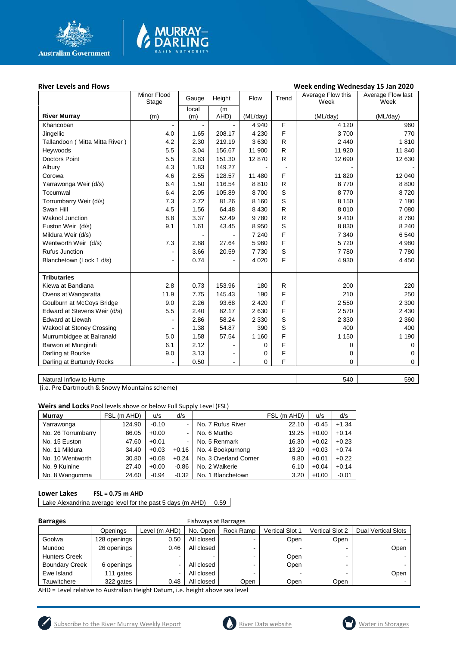

# MURRAY-<br>DARLING

#### River Levels and Flows **River Levels and Flows Week ending Wednesday 15 Jan 2020**

|                                | Minor Flood<br>Stage         | Gauge                    | Height         | Flow     | Trend | Average Flow this<br>Week | Average Flow last<br>Week |
|--------------------------------|------------------------------|--------------------------|----------------|----------|-------|---------------------------|---------------------------|
|                                |                              | local                    | (m             |          |       |                           |                           |
| <b>River Murray</b>            | (m)                          | (m)                      | AHD)           | (ML/day) |       | (ML/day)                  | (ML/day)                  |
| Khancoban                      | $\blacksquare$               |                          |                | 4 9 4 0  | F     | 4 1 2 0                   | 960                       |
| Jingellic                      | 4.0                          | 1.65                     | 208.17         | 4 2 3 0  | F     | 3700                      | 770                       |
| Tallandoon (Mitta Mitta River) | 4.2                          | 2.30                     | 219.19         | 3630     | R     | 2 4 4 0                   | 1810                      |
| Heywoods                       | 5.5                          | 3.04                     | 156.67         | 11 900   | R     | 11 920                    | 11 840                    |
| <b>Doctors Point</b>           | 5.5                          | 2.83                     | 151.30         | 12 870   | R     | 12 690                    | 12 630                    |
| Albury                         | 4.3                          | 1.83                     | 149.27         |          |       |                           |                           |
| Corowa                         | 4.6                          | 2.55                     | 128.57         | 11 480   | F     | 11 820                    | 12 040                    |
| Yarrawonga Weir (d/s)          | 6.4                          | 1.50                     | 116.54         | 8810     | R     | 8770                      | 8800                      |
| Tocumwal                       | 6.4                          | 2.05                     | 105.89         | 8700     | S     | 8770                      | 8720                      |
| Torrumbarry Weir (d/s)         | 7.3                          | 2.72                     | 81.26          | 8 1 6 0  | S     | 8 1 5 0                   | 7 180                     |
| Swan Hill                      | 4.5                          | 1.56                     | 64.48          | 8 4 3 0  | R     | 8 0 1 0                   | 7 0 8 0                   |
| <b>Wakool Junction</b>         | 8.8                          | 3.37                     | 52.49          | 9780     | R     | 9410                      | 8760                      |
| Euston Weir (d/s)              | 9.1                          | 1.61                     | 43.45          | 8 9 5 0  | S     | 8830                      | 8 2 4 0                   |
| Mildura Weir (d/s)             |                              | $\overline{\phantom{a}}$ | $\blacksquare$ | 7 2 4 0  | F     | 7 3 4 0                   | 6 5 4 0                   |
| Wentworth Weir (d/s)           | 7.3                          | 2.88                     | 27.64          | 5 9 6 0  | F     | 5720                      | 4 9 8 0                   |
| <b>Rufus Junction</b>          | $\blacksquare$               | 3.66                     | 20.59          | 7730     | S     | 7780                      | 7780                      |
| Blanchetown (Lock 1 d/s)       | $\qquad \qquad \blacksquare$ | 0.74                     |                | 4 0 20   | F     | 4 9 3 0                   | 4 4 5 0                   |
|                                |                              |                          |                |          |       |                           |                           |
| <b>Tributaries</b>             |                              |                          |                |          |       |                           |                           |
| Kiewa at Bandiana              | 2.8                          | 0.73                     | 153.96         | 180      | R     | 200                       | 220                       |
| Ovens at Wangaratta            | 11.9                         | 7.75                     | 145.43         | 190      | F     | 210                       | 250                       |
| Goulburn at McCoys Bridge      | 9.0                          | 2.26                     | 93.68          | 2 4 2 0  | F     | 2 5 5 0                   | 2 3 0 0                   |
| Edward at Stevens Weir (d/s)   | 5.5                          | 2.40                     | 82.17          | 2630     | F     | 2570                      | 2 4 3 0                   |
| <b>Edward at Liewah</b>        |                              | 2.86                     | 58.24          | 2 3 3 0  | S     | 2 3 3 0                   | 2 3 6 0                   |
| Wakool at Stoney Crossing      |                              | 1.38                     | 54.87          | 390      | S     | 400                       | 400                       |
| Murrumbidgee at Balranald      | 5.0                          | 1.58                     | 57.54          | 1 160    | F     | 1 1 5 0                   | 1 1 9 0                   |
| Barwon at Mungindi             | 6.1                          | 2.12                     |                | 0        | F     | 0                         | 0                         |
| Darling at Bourke              | 9.0                          | 3.13                     | $\blacksquare$ | 0        | F     | 0                         | 0                         |
| Darling at Burtundy Rocks      |                              | 0.50                     | $\blacksquare$ | 0        | F     | 0                         | 0                         |
|                                |                              |                          |                |          |       |                           |                           |

Natural Inflow to Hume 590

(i.e. Pre Dartmouth & Snowy Mountains scheme)

**Weirs and Locks** Pool levels above or below Full Supply Level (FSL)

| Murray             | FSL (m AHD) | u/s     | d/s     |                       | FSL (m AHD) | u/s     | d/s     |
|--------------------|-------------|---------|---------|-----------------------|-------------|---------|---------|
| Yarrawonga         | 124.90      | $-0.10$ |         | No. 7 Rufus River     | 22.10       | $-0.45$ | $+1.34$ |
| No. 26 Torrumbarry | 86.05       | $+0.00$ |         | No. 6 Murtho          | 19.25       | $+0.00$ | $+0.14$ |
| No. 15 Euston      | 47.60       | $+0.01$ |         | No. 5 Renmark         | 16.30       | $+0.02$ | $+0.23$ |
| No. 11 Mildura     | 34.40       | $+0.03$ | $+0.16$ | No. 4 Bookpurnong     | 13.20       | $+0.03$ | $+0.74$ |
| No. 10 Wentworth   | 30.80       | $+0.08$ | $+0.24$ | No. 3 Overland Corner | 9.80        | $+0.01$ | $+0.22$ |
| No. 9 Kulnine      | 27.40       | $+0.00$ | $-0.86$ | No. 2 Waikerie        | 6.10        | $+0.04$ | $+0.14$ |
| No. 8 Wangumma     | 24.60       | $-0.94$ | $-0.32$ | No. 1 Blanchetown     | 3.20        | $+0.00$ | $-0.01$ |

#### **Lower Lakes FSL = 0.75 m AHD**

Lake Alexandrina average level for the past 5 days (m AHD)  $\Big| 0.59 \Big|$ 

| <b>Barrages</b>       |              |               | <b>Fishways at Barrages</b> |           |                        |                        |                            |  |  |
|-----------------------|--------------|---------------|-----------------------------|-----------|------------------------|------------------------|----------------------------|--|--|
|                       | Openings     | Level (m AHD) | No. Open                    | Rock Ramp | <b>Vertical Slot 1</b> | <b>Vertical Slot 2</b> | <b>Dual Vertical Slots</b> |  |  |
| Goolwa                | 128 openings | 0.50          | All closed                  |           | Open                   | Open                   |                            |  |  |
| Mundoo                | 26 openings  | 0.46          | All closed                  | -         |                        |                        | Oper                       |  |  |
| <b>Hunters Creek</b>  |              |               |                             | -         | Open                   |                        |                            |  |  |
| <b>Boundary Creek</b> | 6 openings   | -             | All closed                  | -         | Open                   |                        |                            |  |  |
| Ewe Island            | 111 gates    |               | All closed                  | -         |                        |                        | Oper                       |  |  |
| Tauwitchere           | 322 gates    | 0.48          | All closed                  | Open      | Open                   | Open                   |                            |  |  |

AHD = Level relative to Australian Height Datum, i.e. height above sea level